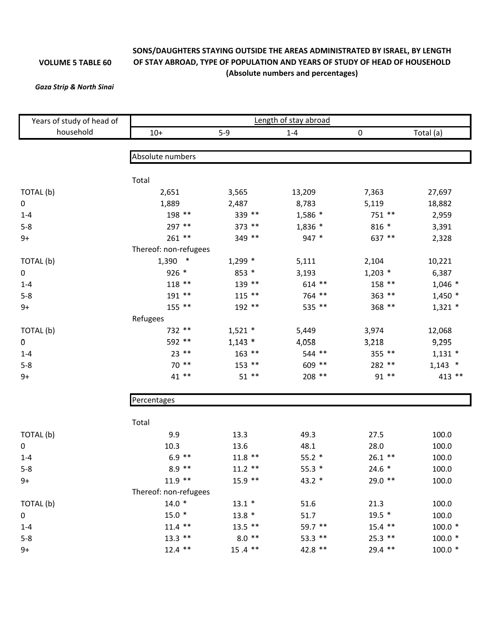## **VOLUME 5 TABLE 60**

## **SONS/DAUGHTERS STAYING OUTSIDE THE AREAS ADMINISTRATED BY ISRAEL, BY LENGTH OF STAY ABROAD, TYPE OF POPULATION AND YEARS OF STUDY OF HEAD OF HOUSEHOLD (Absolute numbers and percentages)**

## *Gaza Strip & North Sinai*

| Years of study of head of | Length of stay abroad |           |           |           |           |  |  |  |
|---------------------------|-----------------------|-----------|-----------|-----------|-----------|--|--|--|
| household                 | $10+$                 | $5-9$     | $1 - 4$   | $\pmb{0}$ | Total (a) |  |  |  |
|                           |                       |           |           |           |           |  |  |  |
|                           | Absolute numbers      |           |           |           |           |  |  |  |
|                           | Total                 |           |           |           |           |  |  |  |
| TOTAL (b)                 | 2,651                 | 3,565     | 13,209    | 7,363     | 27,697    |  |  |  |
| $\mathbf 0$               | 1,889                 | 2,487     | 8,783     | 5,119     | 18,882    |  |  |  |
| $1 - 4$                   | 198 **                | 339 **    | $1,586$ * | 751 **    | 2,959     |  |  |  |
| $5 - 8$                   | 297 **                | 373 **    | 1,836 *   | $816 *$   | 3,391     |  |  |  |
| $9+$                      | $261$ **              | 349 **    | 947 *     | 637 **    | 2,328     |  |  |  |
|                           | Thereof: non-refugees |           |           |           |           |  |  |  |
| TOTAL(b)                  | $1,390$ *             | $1,299$ * | 5,111     | 2,104     | 10,221    |  |  |  |
| 0                         | 926 *                 | 853 *     | 3,193     | $1,203$ * | 6,387     |  |  |  |
| $1 - 4$                   | 118 **                | 139 **    | $614$ **  | 158 **    | $1,046$ * |  |  |  |
| $5 - 8$                   | 191 **                | $115$ **  | 764 **    | 363 **    | $1,450*$  |  |  |  |
| $9+$                      | 155 **                | 192 **    | 535 **    | 368 **    | $1,321$ * |  |  |  |
|                           | Refugees              |           |           |           |           |  |  |  |
| TOTAL (b)                 | 732 **                | $1,521$ * | 5,449     | 3,974     | 12,068    |  |  |  |
| 0                         | 592 **                | $1,143$ * | 4,058     | 3,218     | 9,295     |  |  |  |
| $1 - 4$                   | $23$ **               | $163$ **  | 544 **    | 355 **    | $1,131$ * |  |  |  |
| $5 - 8$                   | 70 **                 | $153$ **  | 609 **    | 282 **    | $1,143$ * |  |  |  |
| $9+$                      | 41 **                 | $51$ **   | 208 **    | 91 **     | 413 **    |  |  |  |
|                           | Percentages           |           |           |           |           |  |  |  |
|                           |                       |           |           |           |           |  |  |  |
|                           | Total                 |           |           |           |           |  |  |  |
| TOTAL (b)                 | 9.9                   | 13.3      | 49.3      | 27.5      | 100.0     |  |  |  |
| 0                         | 10.3                  | 13.6      | 48.1      | 28.0      | 100.0     |  |  |  |
| $1 - 4$                   | $6.9$ **              | $11.8$ ** | $55.2*$   | $26.1$ ** | 100.0     |  |  |  |
| $5 - 8$                   | $8.9$ **              | $11.2$ ** | $55.3*$   | $24.6*$   | 100.0     |  |  |  |
| 9+                        | $11.9$ **             | $15.9$ ** | 43.2 *    | $29.0$ ** | 100.0     |  |  |  |
|                           | Thereof: non-refugees |           |           |           |           |  |  |  |
| TOTAL (b)                 | $14.0*$               | $13.1 *$  | 51.6      | 21.3      | 100.0     |  |  |  |
| 0                         | $15.0*$               | $13.8*$   | 51.7      | $19.5 *$  | 100.0     |  |  |  |
| $1 - 4$                   | $11.4$ **             | $13.5$ ** | 59.7 **   | $15.4$ ** | $100.0*$  |  |  |  |
| $5 - 8$                   | $13.3$ **             | $8.0$ **  | 53.3 **   | $25.3$ ** | $100.0*$  |  |  |  |
| $9+$                      | $12.4$ **             | $15.4$ ** | 42.8 **   | 29.4 **   | $100.0*$  |  |  |  |